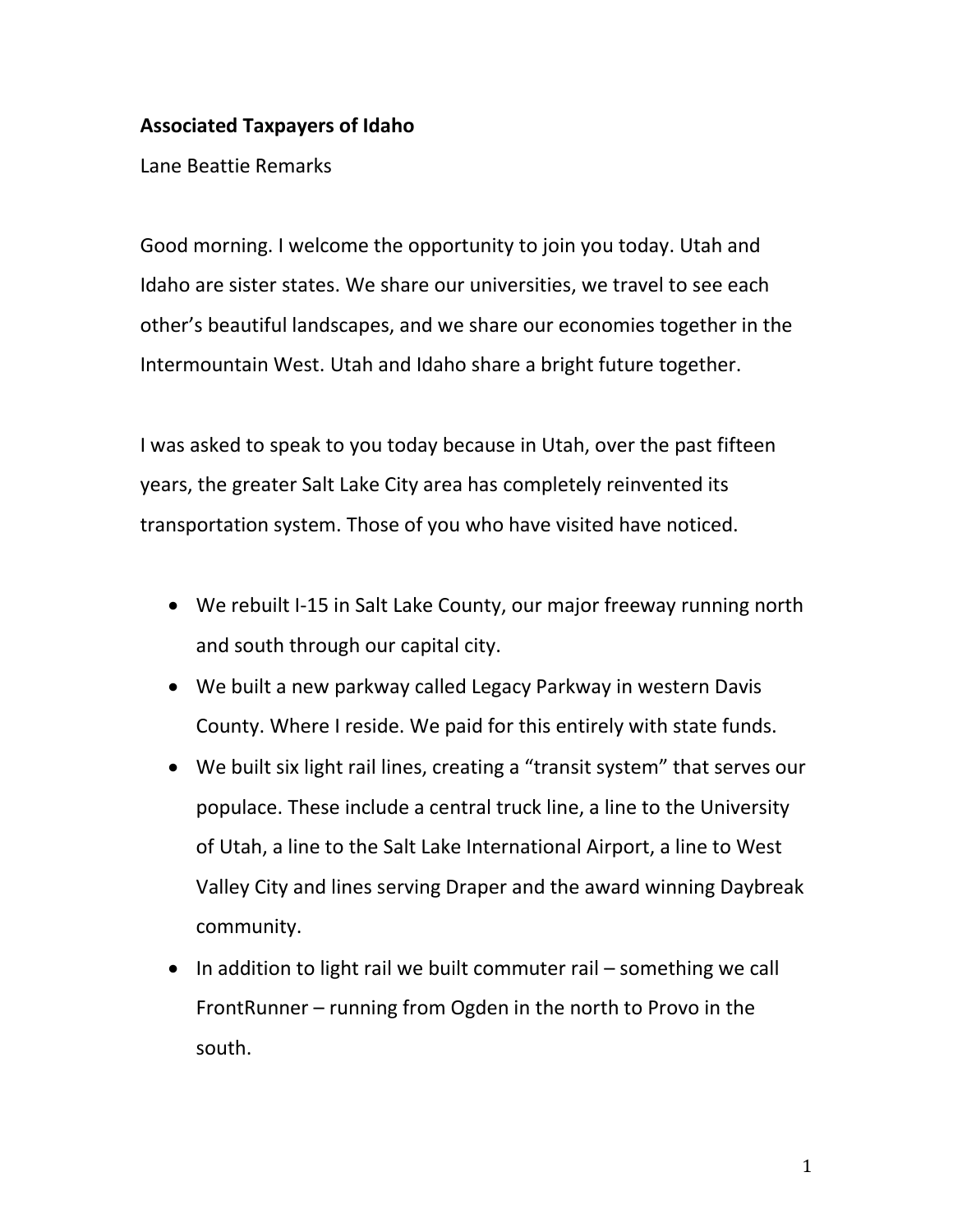## **Associated Taxpayers of Idaho**

Lane Beattie Remarks

Good morning. I welcome the opportunity to join you today. Utah and Idaho are sister states. We share our universities, we travel to see each other's beautiful landscapes, and we share our economies together in the Intermountain West. Utah and Idaho share a bright future together.

I was asked to speak to you today because in Utah, over the past fifteen years, the greater Salt Lake City area has completely reinvented its transportation system. Those of you who have visited have noticed.

- We rebuilt I-15 in Salt Lake County, our major freeway running north and south through our capital city.
- We built a new parkway called Legacy Parkway in western Davis County. Where I reside. We paid for this entirely with state funds.
- We built six light rail lines, creating a "transit system" that serves our populace. These include a central truck line, a line to the University of Utah, a line to the Salt Lake International Airport, a line to West Valley City and lines serving Draper and the award winning Daybreak community.
- $\bullet$  In addition to light rail we built commuter rail something we call FrontRunner – running from Ogden in the north to Provo in the south.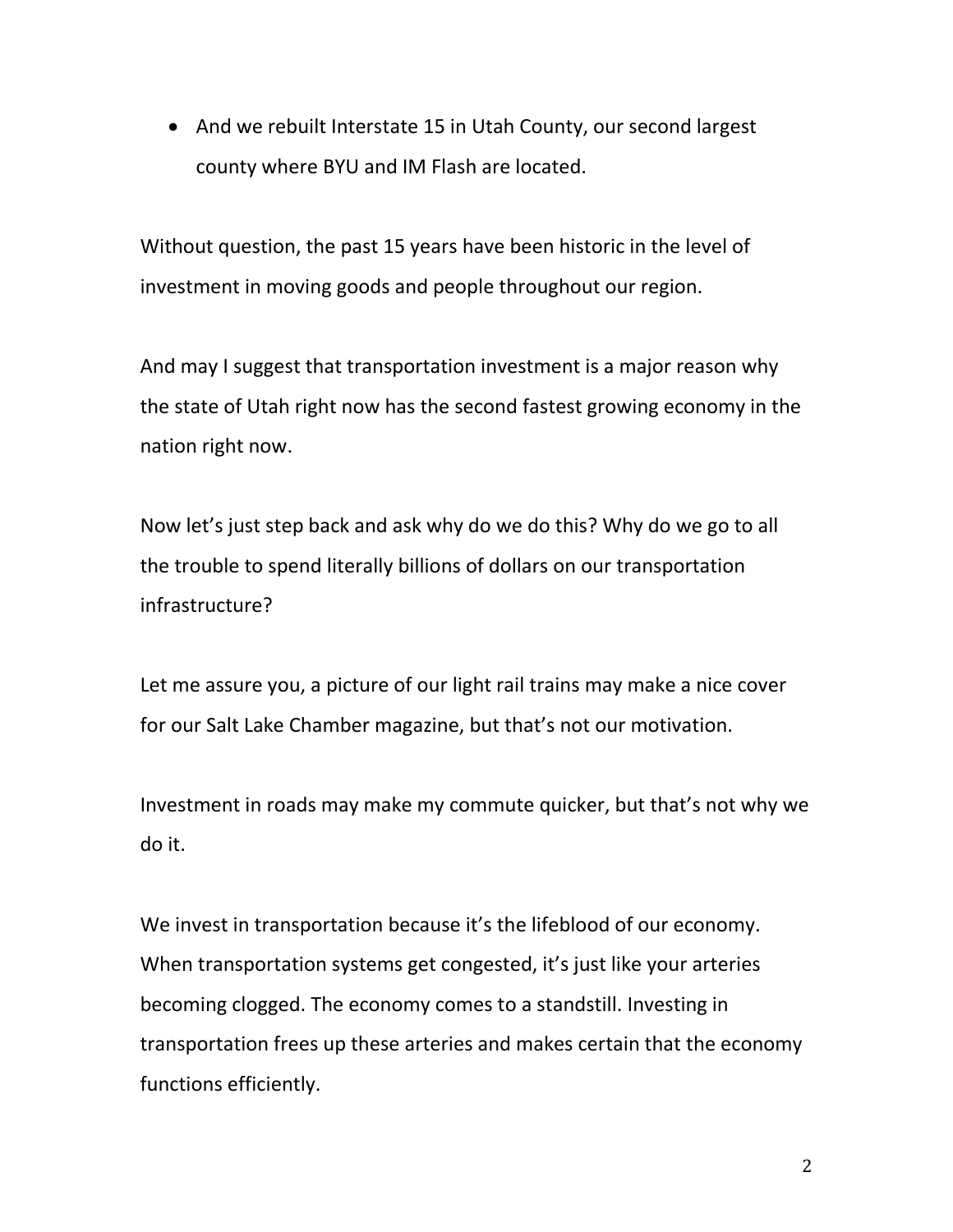• And we rebuilt Interstate 15 in Utah County, our second largest county where BYU and IM Flash are located.

Without question, the past 15 years have been historic in the level of investment in moving goods and people throughout our region.

And may I suggest that transportation investment is a major reason why the state of Utah right now has the second fastest growing economy in the nation right now.

Now let's just step back and ask why do we do this? Why do we go to all the trouble to spend literally billions of dollars on our transportation infrastructure?

Let me assure you, a picture of our light rail trains may make a nice cover for our Salt Lake Chamber magazine, but that's not our motivation.

Investment in roads may make my commute quicker, but that's not why we do it.

We invest in transportation because it's the lifeblood of our economy. When transportation systems get congested, it's just like your arteries becoming clogged. The economy comes to a standstill. Investing in transportation frees up these arteries and makes certain that the economy functions efficiently.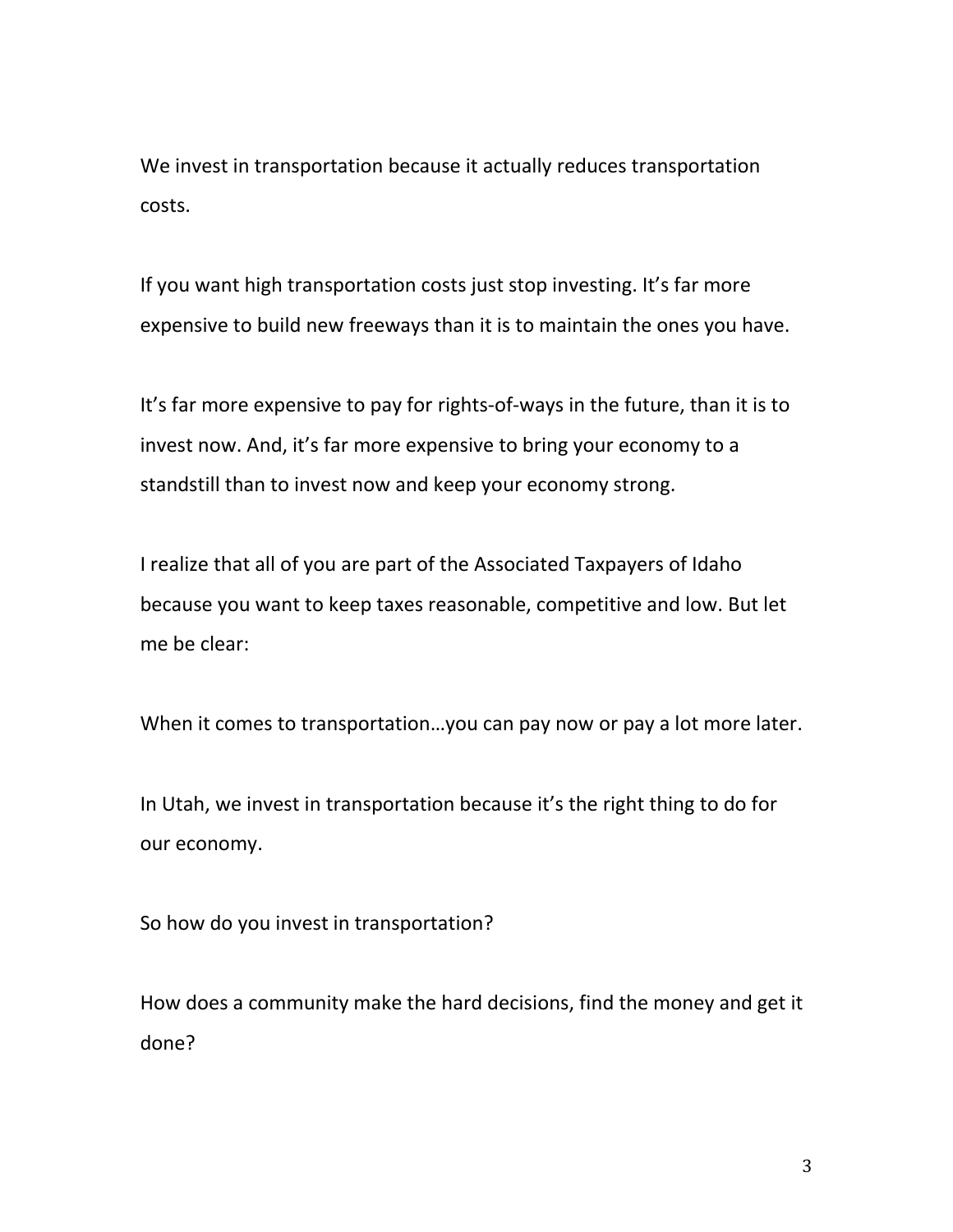We invest in transportation because it actually reduces transportation costs.

If you want high transportation costs just stop investing. It's far more expensive to build new freeways than it is to maintain the ones you have.

It's far more expensive to pay for rights-of-ways in the future, than it is to invest now. And, it's far more expensive to bring your economy to a standstill than to invest now and keep your economy strong.

I realize that all of you are part of the Associated Taxpayers of Idaho because you want to keep taxes reasonable, competitive and low. But let me be clear:

When it comes to transportation…you can pay now or pay a lot more later.

In Utah, we invest in transportation because it's the right thing to do for our economy.

So how do you invest in transportation?

How does a community make the hard decisions, find the money and get it done?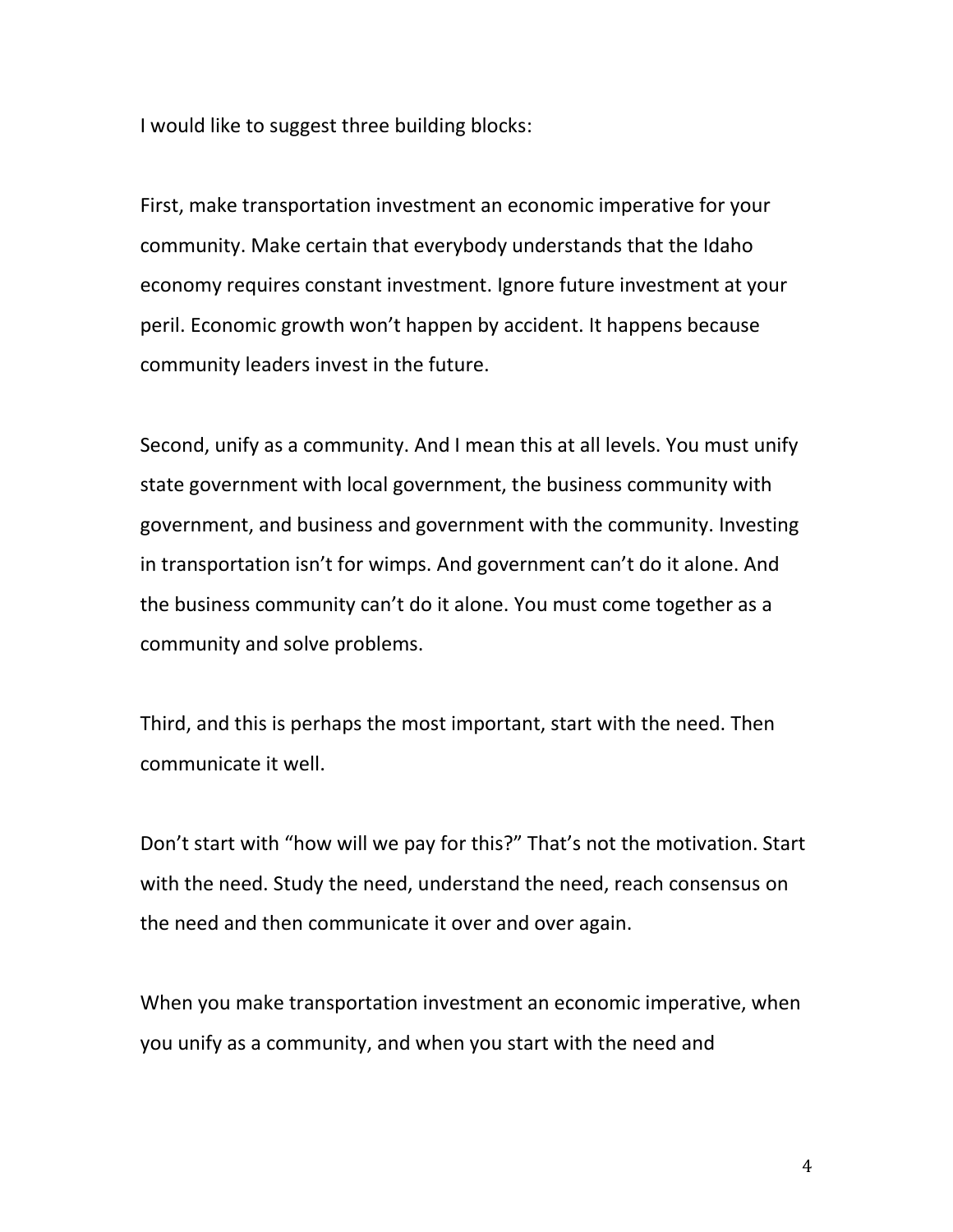I would like to suggest three building blocks:

First, make transportation investment an economic imperative for your community. Make certain that everybody understands that the Idaho economy requires constant investment. Ignore future investment at your peril. Economic growth won't happen by accident. It happens because community leaders invest in the future.

Second, unify as a community. And I mean this at all levels. You must unify state government with local government, the business community with government, and business and government with the community. Investing in transportation isn't for wimps. And government can't do it alone. And the business community can't do it alone. You must come together as a community and solve problems.

Third, and this is perhaps the most important, start with the need. Then communicate it well.

Don't start with "how will we pay for this?" That's not the motivation. Start with the need. Study the need, understand the need, reach consensus on the need and then communicate it over and over again.

When you make transportation investment an economic imperative, when you unify as a community, and when you start with the need and

4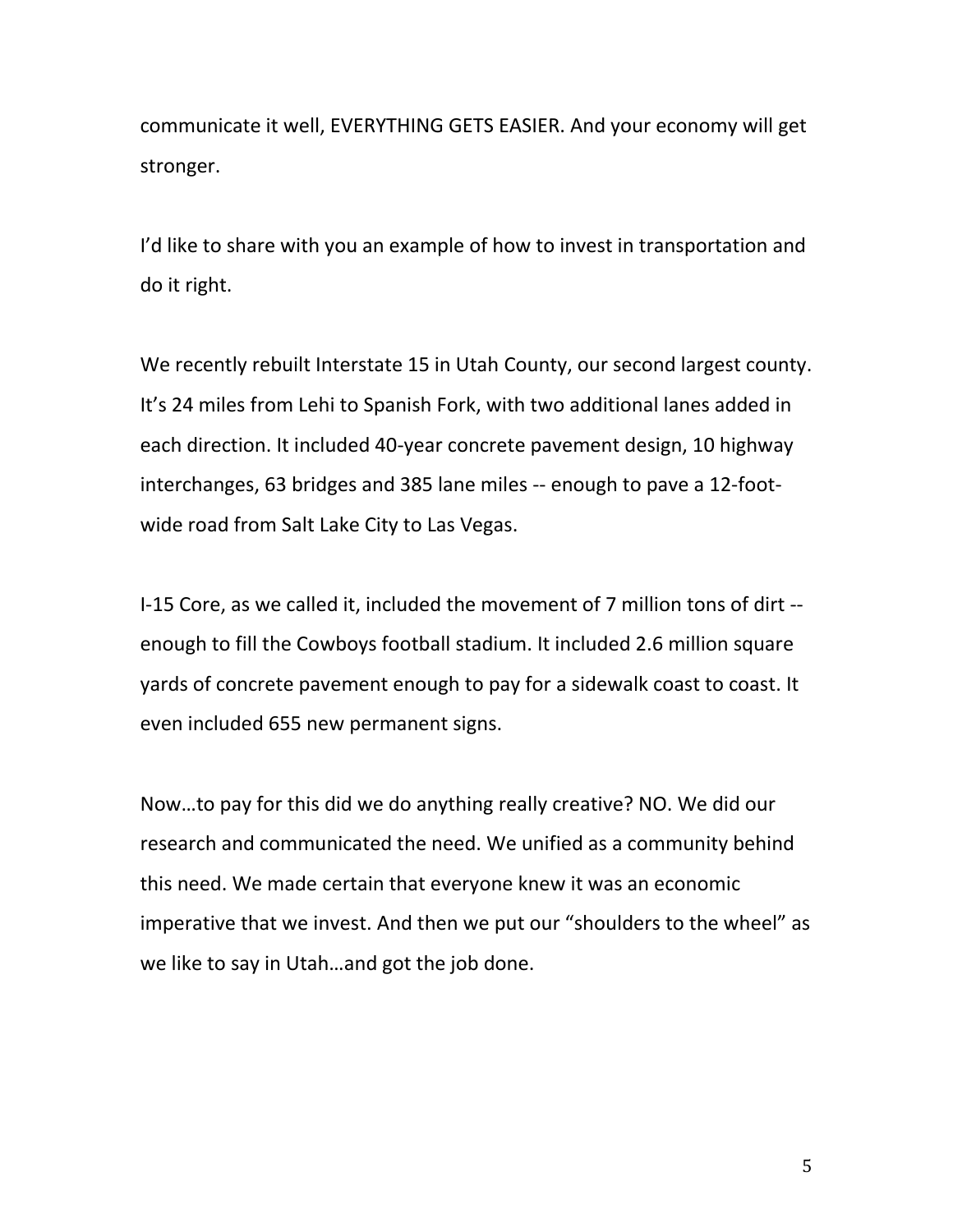communicate it well, EVERYTHING GETS EASIER. And your economy will get stronger.

I'd like to share with you an example of how to invest in transportation and do it right.

We recently rebuilt Interstate 15 in Utah County, our second largest county. It's 24 miles from Lehi to Spanish Fork, with two additional lanes added in each direction. It included 40-year concrete pavement design, 10 highway interchanges, 63 bridges and 385 lane miles -- enough to pave a 12-footwide road from Salt Lake City to Las Vegas.

I-15 Core, as we called it, included the movement of 7 million tons of dirt - enough to fill the Cowboys football stadium. It included 2.6 million square yards of concrete pavement enough to pay for a sidewalk coast to coast. It even included 655 new permanent signs.

Now…to pay for this did we do anything really creative? NO. We did our research and communicated the need. We unified as a community behind this need. We made certain that everyone knew it was an economic imperative that we invest. And then we put our "shoulders to the wheel" as we like to say in Utah…and got the job done.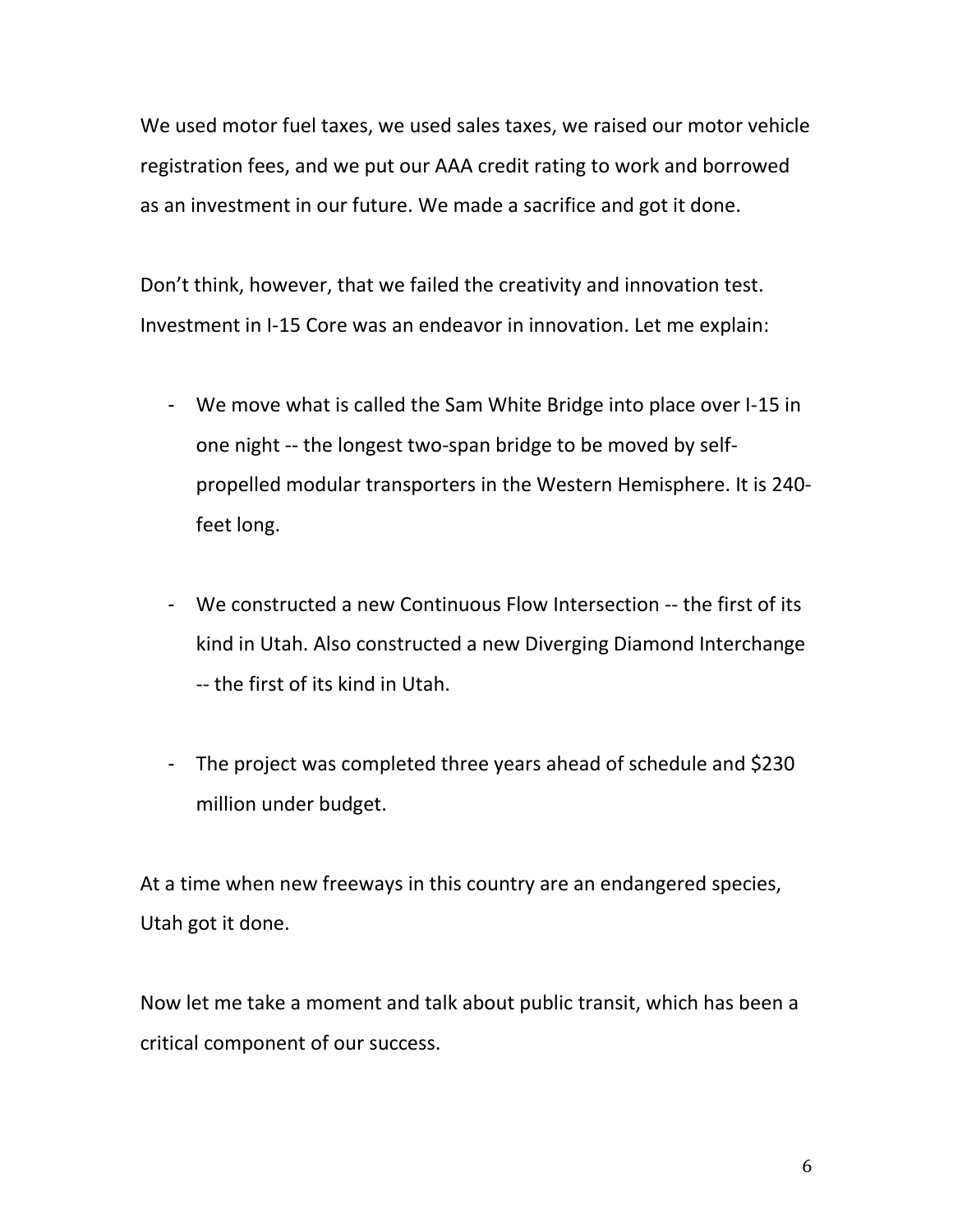We used motor fuel taxes, we used sales taxes, we raised our motor vehicle registration fees, and we put our AAA credit rating to work and borrowed as an investment in our future. We made a sacrifice and got it done.

Don't think, however, that we failed the creativity and innovation test. Investment in I-15 Core was an endeavor in innovation. Let me explain:

- We move what is called the Sam White Bridge into place over I-15 in one night -- the longest two-span bridge to be moved by selfpropelled modular transporters in the Western Hemisphere. It is 240 feet long.
- We constructed a new Continuous Flow Intersection -- the first of its kind in Utah. Also constructed a new Diverging Diamond Interchange -- the first of its kind in Utah.
- The project was completed three years ahead of schedule and \$230 million under budget.

At a time when new freeways in this country are an endangered species, Utah got it done.

Now let me take a moment and talk about public transit, which has been a critical component of our success.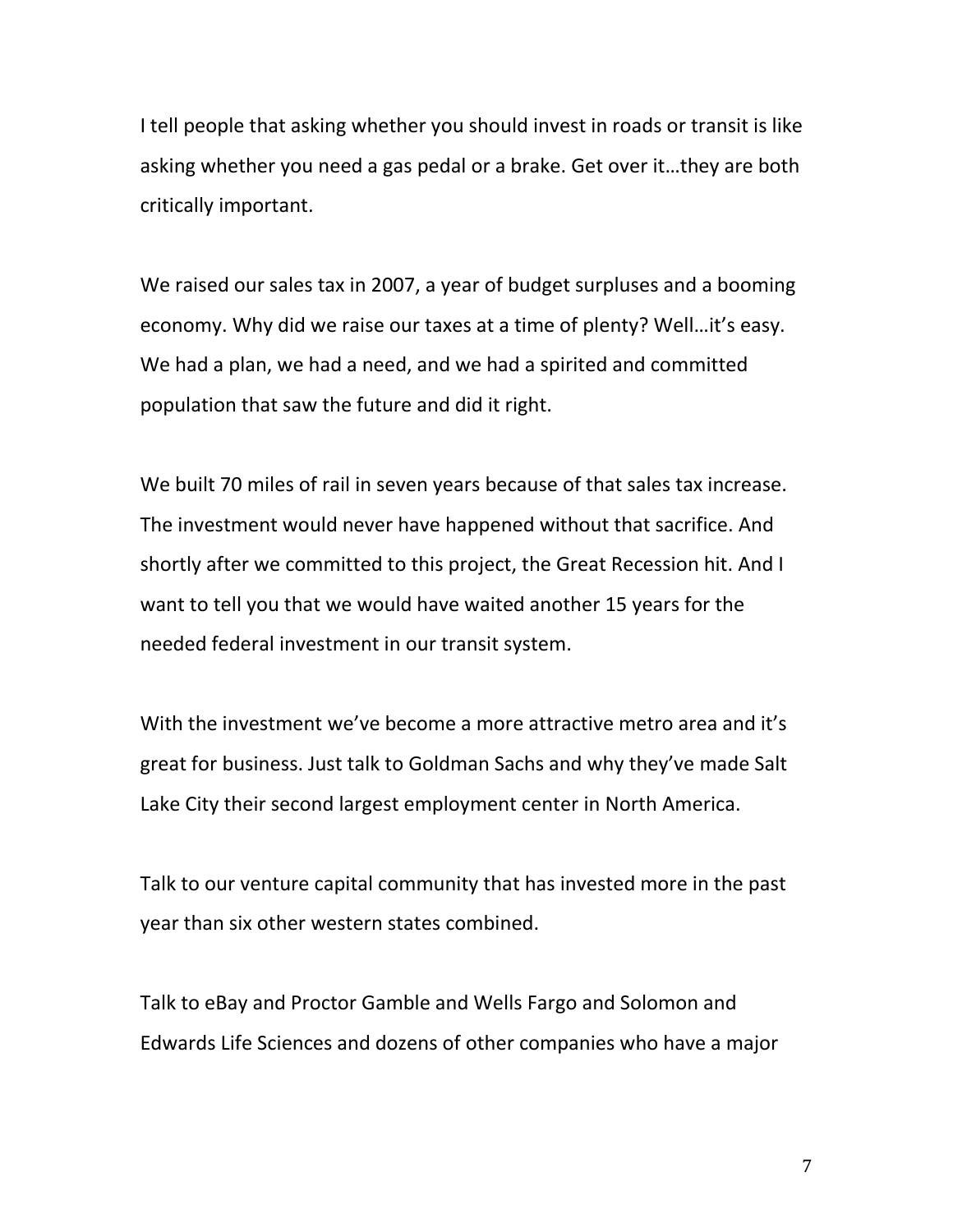I tell people that asking whether you should invest in roads or transit is like asking whether you need a gas pedal or a brake. Get over it…they are both critically important.

We raised our sales tax in 2007, a year of budget surpluses and a booming economy. Why did we raise our taxes at a time of plenty? Well…it's easy. We had a plan, we had a need, and we had a spirited and committed population that saw the future and did it right.

We built 70 miles of rail in seven years because of that sales tax increase. The investment would never have happened without that sacrifice. And shortly after we committed to this project, the Great Recession hit. And I want to tell you that we would have waited another 15 years for the needed federal investment in our transit system.

With the investment we've become a more attractive metro area and it's great for business. Just talk to Goldman Sachs and why they've made Salt Lake City their second largest employment center in North America.

Talk to our venture capital community that has invested more in the past year than six other western states combined.

Talk to eBay and Proctor Gamble and Wells Fargo and Solomon and Edwards Life Sciences and dozens of other companies who have a major